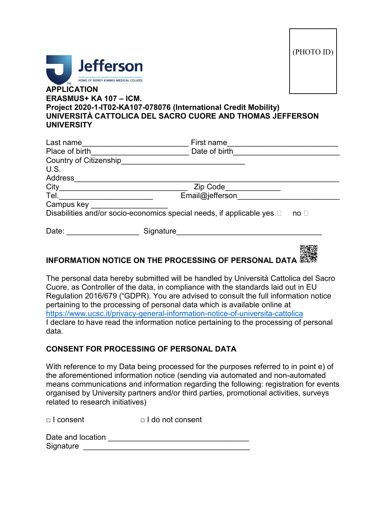



## **ERASMUS+ KA 107 – ICM. Project 2020-1-IT02-KA107-078076 (International Credit Mobility) UNIVERSITÀ CATTOLICA DEL SACRO CUORE AND THOMAS JEFFERSON UNIVERSITY**

| Last name                     | First name                                                                  |             |
|-------------------------------|-----------------------------------------------------------------------------|-------------|
| Place of birth                | Date of birth                                                               |             |
| <b>Country of Citizenship</b> |                                                                             |             |
| U.S.                          |                                                                             |             |
| <b>Address</b>                |                                                                             |             |
| City                          | Zip Code                                                                    |             |
| Tel.                          | Email@jefferson                                                             |             |
| Campus key                    |                                                                             |             |
|                               | Disabilities and/or socio-economics special needs, if applicable yes $\Box$ | $no \sqcap$ |
| Date:                         | Signature                                                                   |             |
|                               |                                                                             |             |

## **INFORMATIONNOTICE ON THE PROCESSING OF PERSONAL DATA**

The personal data hereby submitted will be handled by Università Cattolica del Sacro Cuore, as Controller of the data, in compliance with the standards laid out in EU Regulation 2016/679 ("GDPR). You are advised to consult the full information notice pertaining to the processing of personal data which is available online at <https://www.ucsc.it/privacy-general-information-notice-of-universita-cattolica> I declare to have read the information notice pertaining to the processing of personal data.

## **CONSENT FOR PROCESSING OF PERSONAL DATA**

With reference to my Data being processed for the purposes referred to in point e) of the aforementioned information notice (sending via automated and non-automated means communications and information regarding the following: registration for events organised by University partners and/or third parties, promotional activities, surveys related to research initiatives)

□ I consent □ I do not consent

| Date and location |  |
|-------------------|--|
| Signature         |  |